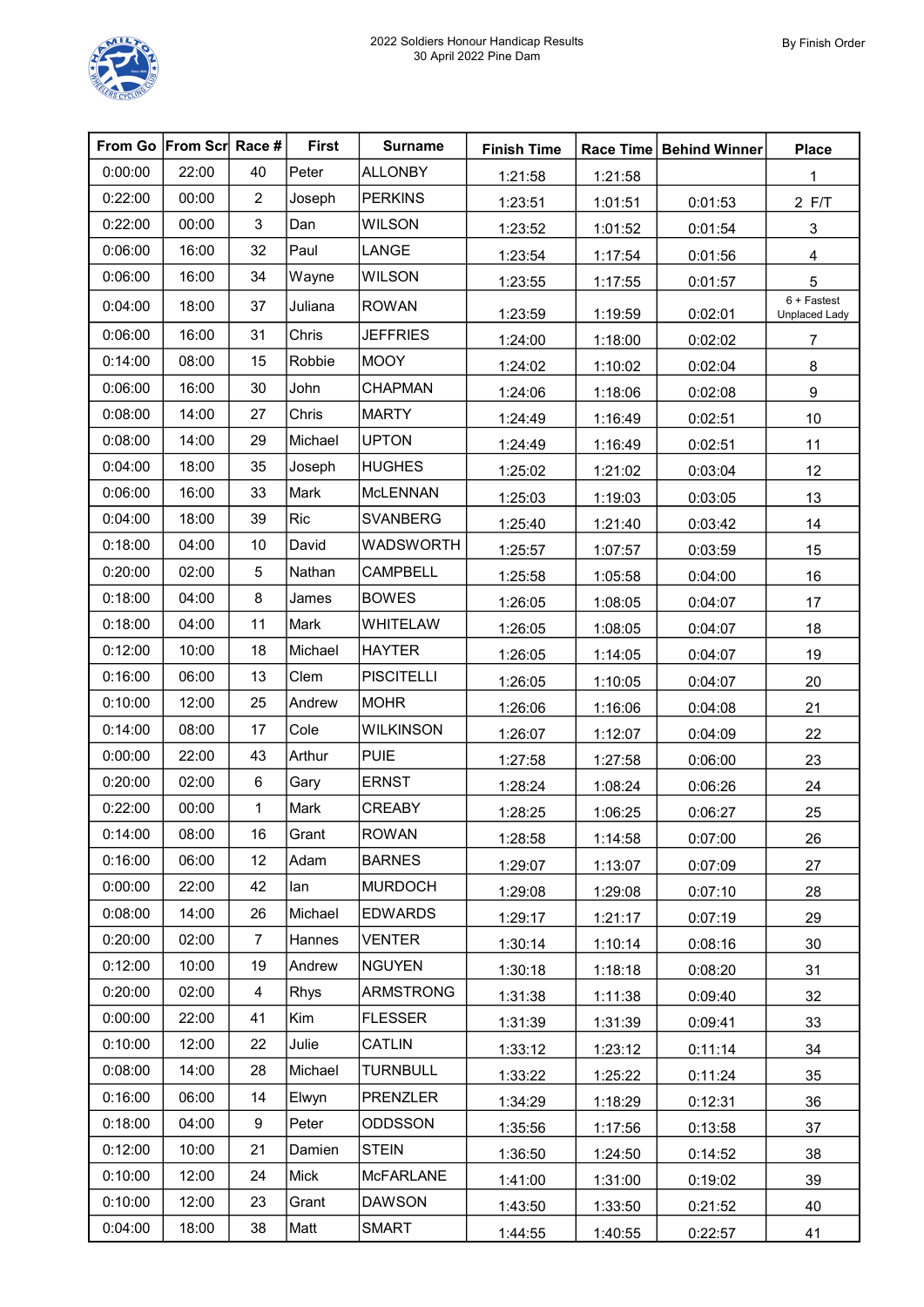|         | From Go From Scr Race # |                | <b>First</b> | <b>Surname</b>    | <b>Finish Time</b> |         | Race Time   Behind Winner | <b>Place</b>                        |
|---------|-------------------------|----------------|--------------|-------------------|--------------------|---------|---------------------------|-------------------------------------|
| 0:00:00 | 22:00                   | 40             | Peter        | <b>ALLONBY</b>    | 1:21:58            | 1:21:58 |                           | 1                                   |
| 0:22:00 | 00:00                   | $\overline{c}$ | Joseph       | <b>PERKINS</b>    | 1:23:51            | 1:01:51 | 0:01:53                   | $2$ F/T                             |
| 0:22:00 | 00:00                   | 3              | Dan          | <b>WILSON</b>     | 1:23:52            | 1:01:52 | 0:01:54                   | 3                                   |
| 0:06:00 | 16:00                   | 32             | Paul         | LANGE             | 1:23:54            | 1:17:54 | 0:01:56                   | $\overline{\mathbf{4}}$             |
| 0:06:00 | 16:00                   | 34             | Wayne        | <b>WILSON</b>     | 1:23:55            | 1:17:55 | 0:01:57                   | 5                                   |
| 0:04:00 | 18:00                   | 37             | Juliana      | <b>ROWAN</b>      | 1:23:59            | 1:19:59 | 0:02:01                   | 6 + Fastest<br><b>Unplaced Lady</b> |
| 0:06:00 | 16:00                   | 31             | Chris        | <b>JEFFRIES</b>   | 1:24:00            | 1:18:00 | 0:02:02                   | $\overline{7}$                      |
| 0:14:00 | 08:00                   | 15             | Robbie       | <b>MOOY</b>       | 1:24:02            | 1:10:02 | 0:02:04                   | 8                                   |
| 0:06:00 | 16:00                   | 30             | John         | <b>CHAPMAN</b>    | 1:24:06            | 1:18:06 | 0:02:08                   | $\boldsymbol{9}$                    |
| 0:08:00 | 14:00                   | 27             | Chris        | <b>MARTY</b>      | 1:24:49            | 1:16:49 | 0:02:51                   | $10$                                |
| 0:08:00 | 14:00                   | 29             | Michael      | <b>UPTON</b>      | 1:24:49            | 1:16:49 | 0:02:51                   | 11                                  |
| 0:04:00 | 18:00                   | 35             | Joseph       | <b>HUGHES</b>     | 1:25:02            | 1:21:02 | 0:03:04                   | 12                                  |
| 0:06:00 | 16:00                   | 33             | Mark         | <b>McLENNAN</b>   | 1:25:03            | 1:19:03 | 0:03:05                   | 13                                  |
| 0:04:00 | 18:00                   | 39             | <b>Ric</b>   | <b>SVANBERG</b>   | 1:25:40            | 1:21:40 | 0:03:42                   | 14                                  |
| 0:18:00 | 04:00                   | 10             | David        | <b>WADSWORTH</b>  | 1:25:57            | 1:07:57 | 0:03:59                   | 15                                  |
| 0:20:00 | 02:00                   | 5              | Nathan       | <b>CAMPBELL</b>   | 1:25:58            | 1:05:58 | 0:04:00                   | 16                                  |
| 0:18:00 | 04:00                   | 8              | James        | <b>BOWES</b>      | 1:26:05            | 1:08:05 | 0:04:07                   | 17                                  |
| 0:18:00 | 04:00                   | 11             | Mark         | WHITELAW          | 1:26:05            | 1:08:05 | 0:04:07                   | 18                                  |
| 0:12:00 | 10:00                   | 18             | Michael      | <b>HAYTER</b>     | 1:26:05            | 1:14:05 | 0:04:07                   | 19                                  |
| 0:16:00 | 06:00                   | 13             | Clem         | <b>PISCITELLI</b> | 1:26:05            | 1:10:05 | 0:04:07                   | 20                                  |
| 0:10:00 | 12:00                   | 25             | Andrew       | <b>MOHR</b>       | 1:26:06            | 1:16:06 | 0:04:08                   | 21                                  |
| 0:14:00 | 08:00                   | 17             | Cole         | <b>WILKINSON</b>  | 1:26:07            | 1:12:07 | 0:04:09                   | 22                                  |
| 0:00:00 | 22:00                   | 43             | Arthur       | <b>PUIE</b>       | 1:27:58            | 1:27:58 | 0:06:00                   | 23                                  |
| 0:20:00 | 02:00                   | 6              | Gary         | <b>ERNST</b>      | 1:28:24            | 1:08:24 | 0:06:26                   | 24                                  |
| 0:22:00 | 00:00                   | $\mathbf{1}$   | Mark         | <b>CREABY</b>     | 1:28:25            | 1:06:25 | 0:06:27                   | 25                                  |
| 0:14:00 | 08:00                   | 16             | Grant        | <b>ROWAN</b>      | 1:28:58            | 1:14:58 | 0:07:00                   | 26                                  |
| 0:16:00 | 06:00                   | 12             | Adam         | <b>BARNES</b>     | 1:29:07            | 1:13:07 | 0:07:09                   | 27                                  |
| 0:00:00 | 22:00                   | 42             | lan          | <b>MURDOCH</b>    | 1:29:08            | 1:29:08 | 0:07:10                   | 28                                  |
| 0:08:00 | 14:00                   | 26             | Michael      | <b>EDWARDS</b>    | 1:29:17            | 1:21:17 | 0:07:19                   | 29                                  |
| 0:20:00 | 02:00                   | 7              | Hannes       | <b>VENTER</b>     | 1:30:14            | 1:10:14 | 0:08:16                   | 30                                  |
| 0:12:00 | 10:00                   | 19             | Andrew       | <b>NGUYEN</b>     | 1:30:18            | 1:18:18 | 0:08:20                   | 31                                  |
| 0:20:00 | 02:00                   | 4              | Rhys         | <b>ARMSTRONG</b>  | 1:31:38            | 1:11:38 | 0:09:40                   | 32                                  |
| 0:00:00 | 22:00                   | 41             | Kim          | <b>FLESSER</b>    | 1:31:39            | 1:31:39 | 0:09:41                   | 33                                  |
| 0:10:00 | 12:00                   | 22             | Julie        | CATLIN            | 1:33:12            | 1:23:12 | 0:11:14                   | 34                                  |
| 0:08:00 | 14:00                   | 28             | Michael      | <b>TURNBULL</b>   | 1:33:22            | 1:25:22 | 0:11:24                   | 35                                  |
| 0:16:00 | 06:00                   | 14             | Elwyn        | <b>PRENZLER</b>   | 1:34:29            | 1:18:29 | 0:12:31                   | 36                                  |
| 0:18:00 | 04:00                   | 9              | Peter        | <b>ODDSSON</b>    | 1:35:56            | 1:17:56 | 0:13:58                   | 37                                  |
| 0:12:00 | 10:00                   | 21             | Damien       | <b>STEIN</b>      | 1:36:50            | 1:24:50 | 0:14:52                   | 38                                  |
| 0:10:00 | 12:00                   | 24             | Mick         | <b>McFARLANE</b>  | 1:41:00            | 1:31:00 | 0:19:02                   | 39                                  |
| 0:10:00 | 12:00                   | 23             | Grant        | <b>DAWSON</b>     | 1:43:50            | 1:33:50 | 0:21:52                   | 40                                  |
| 0:04:00 | 18:00                   | 38             | Matt         | <b>SMART</b>      | 1:44:55            | 1:40:55 | 0:22:57                   | 41                                  |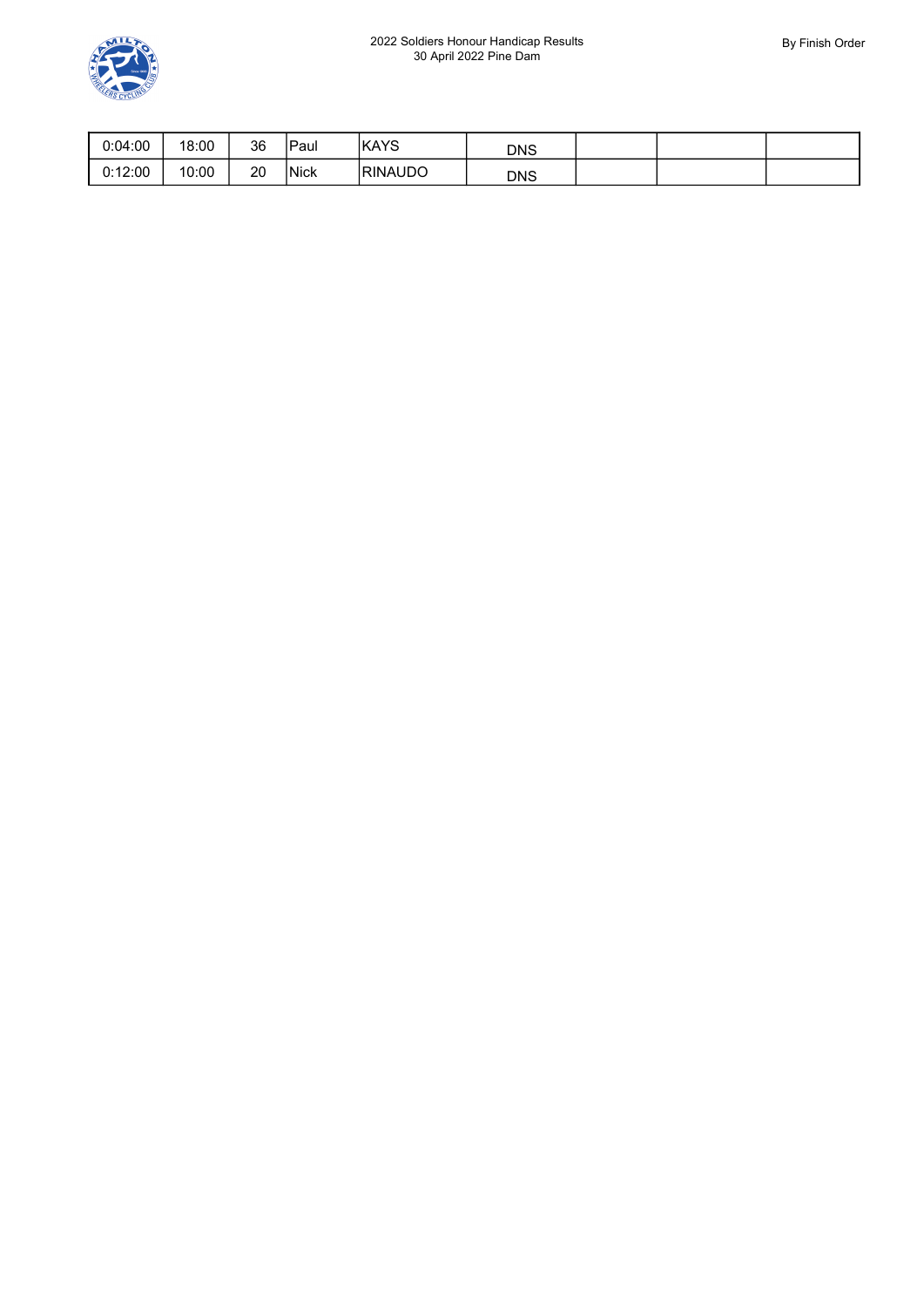

| 0:04:00 | 18:00 | 36 | Paul        | <b>IKAYS</b>   | <b>DNS</b> |  |  |
|---------|-------|----|-------------|----------------|------------|--|--|
| 0:12:00 | 10:00 | 20 | <b>Nick</b> | <b>RINAUDO</b> | <b>DNS</b> |  |  |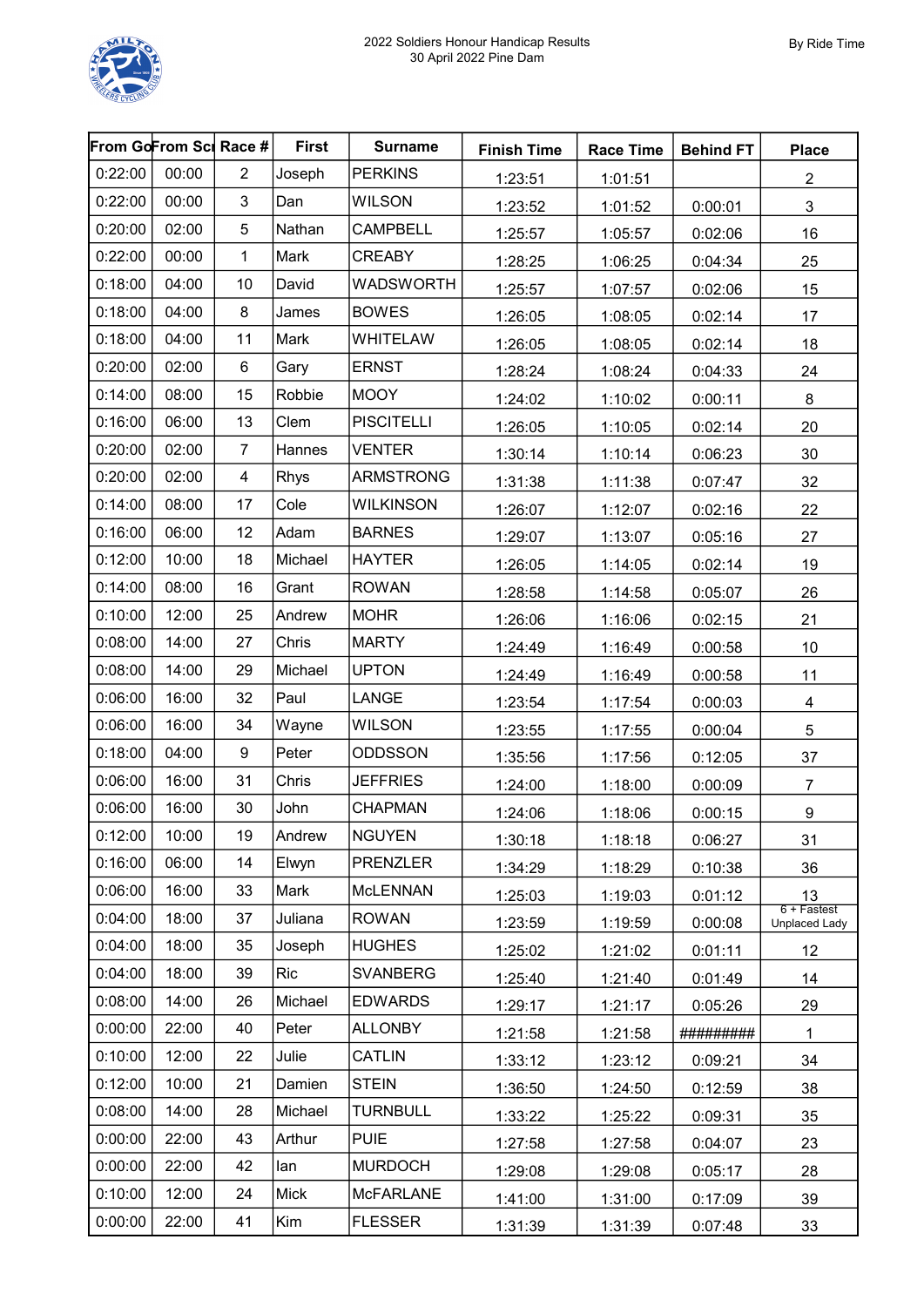

| From GoFrom Sci Race # |       |                         | <b>First</b> | <b>Surname</b>    | <b>Finish Time</b> | <b>Race Time</b> | <b>Behind FT</b> | <b>Place</b>                                            |
|------------------------|-------|-------------------------|--------------|-------------------|--------------------|------------------|------------------|---------------------------------------------------------|
| 0:22:00                | 00:00 | $\overline{2}$          | Joseph       | <b>PERKINS</b>    | 1:23:51            | 1:01:51          |                  | $\overline{c}$                                          |
| 0:22:00                | 00:00 | 3                       | Dan          | <b>WILSON</b>     | 1:23:52            | 1:01:52          | 0:00:01          | $\sqrt{3}$                                              |
| 0:20:00                | 02:00 | 5                       | Nathan       | <b>CAMPBELL</b>   | 1:25:57            | 1:05:57          | 0:02:06          | 16                                                      |
| 0:22:00                | 00:00 | 1                       | Mark         | <b>CREABY</b>     | 1:28:25            | 1:06:25          | 0:04:34          | 25                                                      |
| 0:18:00                | 04:00 | 10                      | David        | <b>WADSWORTH</b>  | 1:25:57            | 1:07:57          | 0:02:06          | 15                                                      |
| 0:18:00                | 04:00 | 8                       | James        | <b>BOWES</b>      | 1:26:05            | 1:08:05          | 0:02:14          | 17                                                      |
| 0:18:00                | 04:00 | 11                      | Mark         | <b>WHITELAW</b>   | 1:26:05            | 1:08:05          | 0:02:14          | 18                                                      |
| 0:20:00                | 02:00 | 6                       | Gary         | <b>ERNST</b>      | 1:28:24            | 1:08:24          | 0:04:33          | 24                                                      |
| 0:14:00                | 08:00 | 15                      | Robbie       | <b>MOOY</b>       | 1:24:02            | 1:10:02          | 0:00:11          | $\bf 8$                                                 |
| 0:16:00                | 06:00 | 13                      | Clem         | <b>PISCITELLI</b> | 1:26:05            | 1:10:05          | 0:02:14          | 20                                                      |
| 0:20:00                | 02:00 | $\overline{7}$          | Hannes       | <b>VENTER</b>     | 1:30:14            | 1:10:14          | 0:06:23          | 30                                                      |
| 0:20:00                | 02:00 | $\overline{\mathbf{4}}$ | Rhys         | <b>ARMSTRONG</b>  | 1:31:38            | 1:11:38          | 0:07:47          | 32                                                      |
| 0:14:00                | 08:00 | 17                      | Cole         | <b>WILKINSON</b>  | 1:26:07            | 1:12:07          | 0:02:16          | 22                                                      |
| 0:16:00                | 06:00 | 12                      | Adam         | <b>BARNES</b>     | 1:29:07            | 1:13:07          | 0:05:16          | 27                                                      |
| 0:12:00                | 10:00 | 18                      | Michael      | <b>HAYTER</b>     | 1:26:05            | 1:14:05          | 0:02:14          | 19                                                      |
| 0:14:00                | 08:00 | 16                      | Grant        | <b>ROWAN</b>      | 1:28:58            | 1:14:58          | 0:05:07          | 26                                                      |
| 0:10:00                | 12:00 | 25                      | Andrew       | <b>MOHR</b>       | 1:26:06            | 1:16:06          | 0:02:15          | 21                                                      |
| 0:08:00                | 14:00 | 27                      | Chris        | <b>MARTY</b>      | 1:24:49            | 1:16:49          | 0:00:58          | $10$                                                    |
| 0:08:00                | 14:00 | 29                      | Michael      | <b>UPTON</b>      | 1:24:49            | 1:16:49          | 0:00:58          | 11                                                      |
| 0:06:00                | 16:00 | 32                      | Paul         | LANGE             | 1:23:54            | 1:17:54          | 0:00:03          | 4                                                       |
| 0:06:00                | 16:00 | 34                      | Wayne        | <b>WILSON</b>     | 1:23:55            | 1:17:55          | 0:00:04          | $5\,$                                                   |
| 0:18:00                | 04:00 | $\boldsymbol{9}$        | Peter        | <b>ODDSSON</b>    | 1:35:56            | 1:17:56          | 0:12:05          | 37                                                      |
| 0:06:00                | 16:00 | 31                      | Chris        | <b>JEFFRIES</b>   | 1:24:00            | 1:18:00          | 0:00:09          | $\boldsymbol{7}$                                        |
| 0:06:00                | 16:00 | 30                      | John         | <b>CHAPMAN</b>    | 1:24:06            | 1:18:06          | 0:00:15          | 9                                                       |
| 0:12:00                | 10:00 | 19                      | Andrew       | <b>NGUYEN</b>     | 1:30:18            | 1:18:18          | 0:06:27          | 31                                                      |
| 0:16:00                | 06:00 | 14                      | Elwyn        | <b>PRENZLER</b>   | 1:34:29            | 1:18:29          | 0:10:38          | 36                                                      |
| 0:06:00                | 16:00 | 33                      | Mark         | <b>McLENNAN</b>   | 1:25:03            | 1:19:03          | 0:01:12          | 13                                                      |
| 0:04:00                | 18:00 | 37                      | Juliana      | <b>ROWAN</b>      | 1:23:59            | 1:19:59          | 0:00:08          | $\frac{12}{6 + \text{Fastest}}$<br><b>Unplaced Lady</b> |
| 0:04:00                | 18:00 | 35                      | Joseph       | <b>HUGHES</b>     | 1:25:02            | 1:21:02          | 0:01:11          | 12                                                      |
| 0:04:00                | 18:00 | 39                      | <b>Ric</b>   | <b>SVANBERG</b>   | 1:25:40            | 1:21:40          | 0:01:49          | 14                                                      |
| 0:08:00                | 14:00 | 26                      | Michael      | <b>EDWARDS</b>    | 1:29:17            | 1:21:17          | 0:05:26          | 29                                                      |
| 0:00:00                | 22:00 | 40                      | Peter        | <b>ALLONBY</b>    | 1:21:58            | 1:21:58          | #########        | $\mathbf 1$                                             |
| 0:10:00                | 12:00 | 22                      | Julie        | CATLIN            | 1:33:12            | 1:23:12          | 0:09:21          | 34                                                      |
| 0:12:00                | 10:00 | 21                      | Damien       | <b>STEIN</b>      | 1:36:50            | 1:24:50          | 0:12:59          | 38                                                      |
| 0:08:00                | 14:00 | 28                      | Michael      | <b>TURNBULL</b>   | 1:33:22            | 1:25:22          | 0:09:31          | 35                                                      |
| 0:00:00                | 22:00 | 43                      | Arthur       | <b>PUIE</b>       | 1:27:58            | 1:27:58          | 0:04:07          | 23                                                      |
| 0:00:00                | 22:00 | 42                      | lan          | <b>MURDOCH</b>    | 1:29:08            | 1:29:08          | 0:05:17          | 28                                                      |
| 0:10:00                | 12:00 | 24                      | <b>Mick</b>  | <b>McFARLANE</b>  | 1:41:00            | 1:31:00          | 0:17:09          | 39                                                      |
| 0:00:00                | 22:00 | 41                      | Kim          | <b>FLESSER</b>    | 1:31:39            | 1:31:39          | 0:07:48          | 33                                                      |